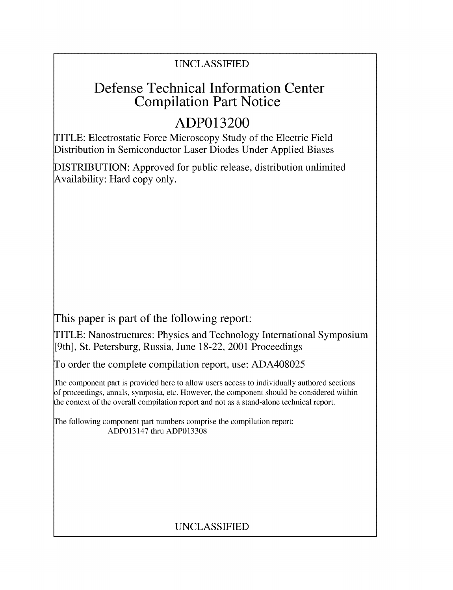## UNCLASSIFIED

## Defense Technical Information Center Compilation Part Notice

# **ADP013200**

TITLE: Electrostatic Force Microscopy Study of the Electric Field Distribution in Semiconductor Laser Diodes Under Applied Biases

DISTRIBUTION: Approved for public release, distribution unlimited Availability: Hard copy only.

This paper is part of the following report:

TITLE: Nanostructures: Physics and Technology International Symposium [9th], St. Petersburg, Russia, June 18-22, 2001 Proceedings

To order the complete compilation report, use: ADA408025

The component part is provided here to allow users access to individually authored sections f proceedings, annals, symposia, etc. However, the component should be considered within the context of the overall compilation report and not as a stand-alone technical report.

The following component part numbers comprise the compilation report: ADP013147 thru ADP013308

## UNCLASSIFIED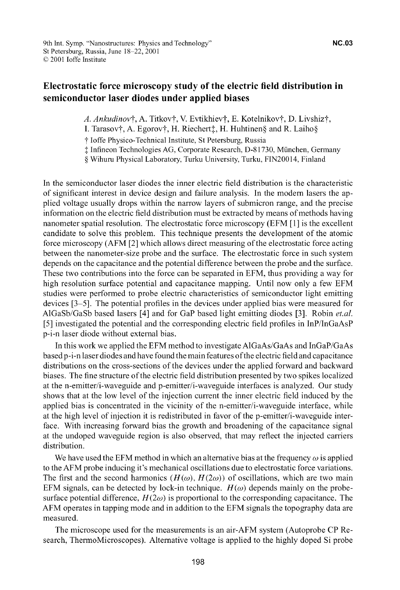### Electrostatic force microscopy study of the electric field distribution in semiconductor laser diodes under applied biases

A. Ankudinov†, A. Titkov†, V. Evtikhiev†, E. Kotelnikov†, D. Livshiz†,

I. Tarasov†, A. Egorov†, H. Riechert $\ddagger$ , H. Huhtinen§ and R. Laiho§

t loffe Physico-Technical Institute, St Petersburg, Russia

**I** Infineon Technologies AG, Corporate Research, D-81730, Minchen, Germany

**§** Wihuru Physical Laboratory, Turku University, Turku, FIN20014, Finland

In the semiconductor laser diodes the inner electric field distribution is the characteristic of significant interest in device design and failure analysis. In the modem lasers the applied voltage usually drops within the narrow layers of submicron range, and the precise information on the electric field distribution must be extracted by means of methods having nanometer spatial resolution. The electrostatic force microscopy (EFM **[1]** is the excellent candidate to solve this problem. This technique presents the development of the atomic force microscopy (AFM [2] which allows direct measuring of the electrostatic force acting between the nanometer-size probe and the surface. The electrostatic force in such system depends on the capacitance and the potential difference between the probe and the surface. These two contributions into the force can be separated in EFM, thus providing a way for high resolution surface potential and capacitance mapping. Until now only a few EFM studies were performed to probe electric characteristics of semiconductor light emitting devices [3-5]. The potential profiles in the devices under applied bias were measured for AlGaSb/GaSb based lasers [4] and for GaP based light emitting diodes [3]. Robin *et.al.* **[5]** investigated the potential and the corresponding electric field profiles in InP/InGaAsP p-i-n laser diode without external bias.

In this work we applied the EFM method to investigate AlGaAs/GaAs and InGaP/GaAs based p-i-n laser diodes and have found the main features of the electric field and capacitance distributions on the cross-sections of the devices under the applied forward and backward biases. The fine structure of the electric field distribution presented by two spikes localized at the n-emitter/i-waveguide and p-emitter/i-waveguide interfaces is analyzed. Our study shows that at the low level of the injection current the inner electric field induced by the applied bias is concentrated in the vicinity of the n-emitter/i-waveguide interface, while at the high level of injection it is redistributed in favor of the p-emitter/i-waveguide interface. With increasing forward bias the growth and broadening of the capacitance signal at the undoped waveguide region is also observed, that may reflect the injected carriers distribution.

We have used the EFM method in which an alternative bias at the frequency  $\omega$  is applied to the AFM probe inducing it's mechanical oscillations due to electrostatic force variations. The first and the second harmonics  $(H(\omega), H(2\omega))$  of oscillations, which are two main EFM signals, can be detected by lock-in technique.  $H(\omega)$  depends mainly on the probesurface potential difference,  $H(2\omega)$  is proportional to the corresponding capacitance. The AFM operates in tapping mode and in addition to the EFM signals the topography data are measured.

The microscope used for the measurements is an air-AFM system (Autoprobe CP Research, ThermoMicroscopes). Alternative voltage is applied to the highly doped Si probe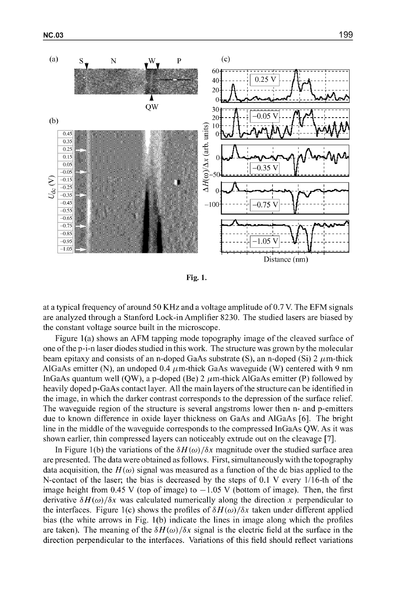

Fig. 1.

at a typical frequency of around 50 KHz and a voltage amplitude of 0.7 V. The EFM signals are analyzed through a Stanford Lock-in Amplifier 8230. The studied lasers are biased by the constant voltage source built in the microscope.

Figure 1(a) shows an AFM tapping mode topography image of the cleaved surface of one of the p-i-n laser diodes studied in this work. The structure was grown by the molecular beam epitaxy and consists of an n-doped GaAs substrate (S), an n-doped (Si) 2  $\mu$ m-thick AlGaAs emitter (N), an undoped 0.4  $\mu$ m-thick GaAs waveguide (W) centered with 9 nm InGaAs quantum well (QW), a p-doped (Be) 2  $\mu$ m-thick AlGaAs emitter (P) followed by heavily doped p-GaAs contact layer. All the main layers of the structure can be identified in the image, in which the darker contrast corresponds to the depression of the surface relief. The waveguide region of the structure is several angstroms lower then n- and p-emitters due to known difference in oxide layer thickness on GaAs and A1GaAs [61. The bright line in the middle of the waveguide corresponds to the compressed InGaAs QW. As it was shown earlier, thin compressed layers can noticeably extrude out on the cleavage [71.

In Figure 1(b) the variations of the  $\delta H(\omega)/\delta x$  magnitude over the studied surface area are presented. The data were obtained as follows. First, simultaneously with the topography data acquisition, the  $H(\omega)$  signal was measured as a function of the dc bias applied to the N-contact of the laser; the bias is decreased by the steps of 0.1 V every 1/16-th of the image height from 0.45 V (top of image) to  $-1.05$  V (bottom of image). Then, the first derivative  $\delta H(\omega)/\delta x$  was calculated numerically along the direction x perpendicular to the interfaces. Figure 1(c) shows the profiles of  $\delta H(\omega)/\delta x$  taken under different applied bias (the white arrows in Fig. 1(b) indicate the lines in image along which the profiles are taken). The meaning of the  $\delta H(\omega)/\delta x$  signal is the electric field at the surface in the direction perpendicular to the interfaces. Variations of this field should reflect variations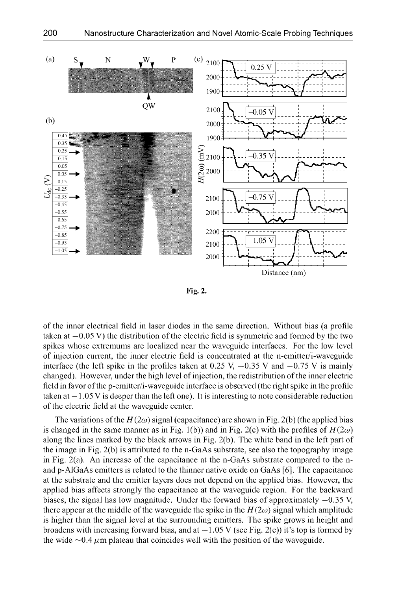

Fig. 2.

of the inner electrical field in laser diodes in the same direction. Without bias (a profile taken at  $-0.05$  V) the distribution of the electric field is symmetric and formed by the two spikes whose extremums are localized near the waveguide interfaces. For the low level of injection current, the inner electric field is concentrated at the n-emitter/i-waveguide interface (the left spike in the profiles taken at 0.25 V,  $-0.35$  V and  $-0.75$  V is mainly changed). However, under the high level of injection, the redistribution of the inner electric field in favor of the p-emitter/i-waveguide interface is observed (the right spike in the profile taken at  $-1.05$  V is deeper than the left one). It is interesting to note considerable reduction of the electric field at the waveguide center.

The variations of the  $H(2\omega)$  signal (capacitance) are shown in Fig. 2(b) (the applied bias is changed in the same manner as in Fig. 1(b)) and in Fig. 2(c) with the profiles of  $H(2\omega)$ along the lines marked by the black arrows in Fig. 2(b). The white band in the left part of the image in Fig. 2(b) is attributed to the n-GaAs substrate, see also the topography image in Fig. 2(a). An increase of the capacitance at the n-GaAs substrate compared to the nand p-AlGaAs emitters is related to the thinner native oxide on GaAs [6]. The capacitance at the substrate and the emitter layers does not depend on the applied bias. However, the applied bias affects strongly the capacitance at the waveguide region. For the backward biases, the signal has low magnitude. Under the forward bias of approximately  $-0.35$  V, there appear at the middle of the waveguide the spike in the  $H(2\omega)$  signal which amplitude is higher than the signal level at the surrounding emitters. The spike grows in height and broadens with increasing forward bias, and at  $-1.05$  V (see Fig. 2(c)) it's top is formed by the wide  $\sim 0.4 \mu$ m plateau that coincides well with the position of the waveguide.